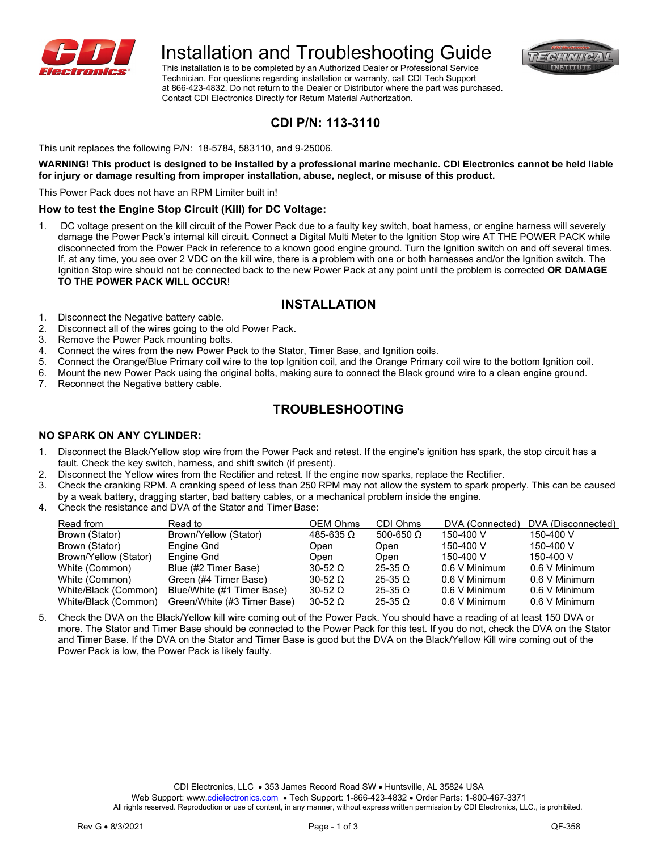

# Installation and Troubleshooting Guide

FORTAIN **INSTITUTE** 

 This installation is to be completed by an Authorized Dealer or Professional Service Technician. For questions regarding installation or warranty, call CDI Tech Support at 866-423-4832. Do not return to the Dealer or Distributor where the part was purchased. Contact CDI Electronics Directly for Return Material Authorization.

### **CDI P/N: 113-3110**

This unit replaces the following P/N: 18-5784, 583110, and 9-25006.

**WARNING! This product is designed to be installed by a professional marine mechanic. CDI Electronics cannot be held liable for injury or damage resulting from improper installation, abuse, neglect, or misuse of this product.**

This Power Pack does not have an RPM Limiter built in!

#### **How to test the Engine Stop Circuit (Kill) for DC Voltage:**

1. DC voltage present on the kill circuit of the Power Pack due to a faulty key switch, boat harness, or engine harness will severely damage the Power Pack's internal kill circuit**.** Connect a Digital Multi Meter to the Ignition Stop wire AT THE POWER PACK while disconnected from the Power Pack in reference to a known good engine ground. Turn the Ignition switch on and off several times. If, at any time, you see over 2 VDC on the kill wire, there is a problem with one or both harnesses and/or the Ignition switch. The Ignition Stop wire should not be connected back to the new Power Pack at any point until the problem is corrected **OR DAMAGE TO THE POWER PACK WILL OCCUR**!

### **INSTALLATION**

- 1. Disconnect the Negative battery cable.
- 2. Disconnect all of the wires going to the old Power Pack.
- 3. Remove the Power Pack mounting bolts.
- 4. Connect the wires from the new Power Pack to the Stator, Timer Base, and Ignition coils.
- 5. Connect the Orange/Blue Primary coil wire to the top Ignition coil, and the Orange Primary coil wire to the bottom Ignition coil.
- 6. Mount the new Power Pack using the original bolts, making sure to connect the Black ground wire to a clean engine ground.
- 7. Reconnect the Negative battery cable.

### **TROUBLESHOOTING**

#### **NO SPARK ON ANY CYLINDER:**

- 1. Disconnect the Black/Yellow stop wire from the Power Pack and retest. If the engine's ignition has spark, the stop circuit has a fault. Check the key switch, harness, and shift switch (if present).
- 2. Disconnect the Yellow wires from the Rectifier and retest. If the engine now sparks, replace the Rectifier.
- 3. Check the cranking RPM. A cranking speed of less than 250 RPM may not allow the system to spark properly. This can be caused by a weak battery, dragging starter, bad battery cables, or a mechanical problem inside the engine.
- 4. Check the resistance and DVA of the Stator and Timer Base:

| Read from             | Read to                     | OEM Ohms           | CDI Ohms         | DVA (Connected) | DVA (Disconnected) |
|-----------------------|-----------------------------|--------------------|------------------|-----------------|--------------------|
| Brown (Stator)        | Brown/Yellow (Stator)       | $485-635$ $\Omega$ | 500-650 $\Omega$ | 150-400 V       | 150-400 V          |
| Brown (Stator)        | Engine Gnd                  | Open               | Open             | 150-400 V       | 150-400 V          |
| Brown/Yellow (Stator) | Engine Gnd                  | Open               | Open             | 150-400 V       | 150-400 V          |
| White (Common)        | Blue (#2 Timer Base)        | $30-52$ $\Omega$   | $25-35$ $\Omega$ | 0.6 V Minimum   | 0.6 V Minimum      |
| White (Common)        | Green (#4 Timer Base)       | $30-52$ $\Omega$   | $25-35$ $\Omega$ | 0.6 V Minimum   | 0.6 V Minimum      |
| White/Black (Common)  | Blue/White (#1 Timer Base)  | $30-52$ $\Omega$   | $25-35$ Q        | 0.6 V Minimum   | 0.6 V Minimum      |
| White/Black (Common)  | Green/White (#3 Timer Base) | $30-52$ $\Omega$   | $25-35$ $\Omega$ | 0.6 V Minimum   | 0.6 V Minimum      |

5. Check the DVA on the Black/Yellow kill wire coming out of the Power Pack. You should have a reading of at least 150 DVA or more. The Stator and Timer Base should be connected to the Power Pack for this test. If you do not, check the DVA on the Stator and Timer Base. If the DVA on the Stator and Timer Base is good but the DVA on the Black/Yellow Kill wire coming out of the Power Pack is low, the Power Pack is likely faulty.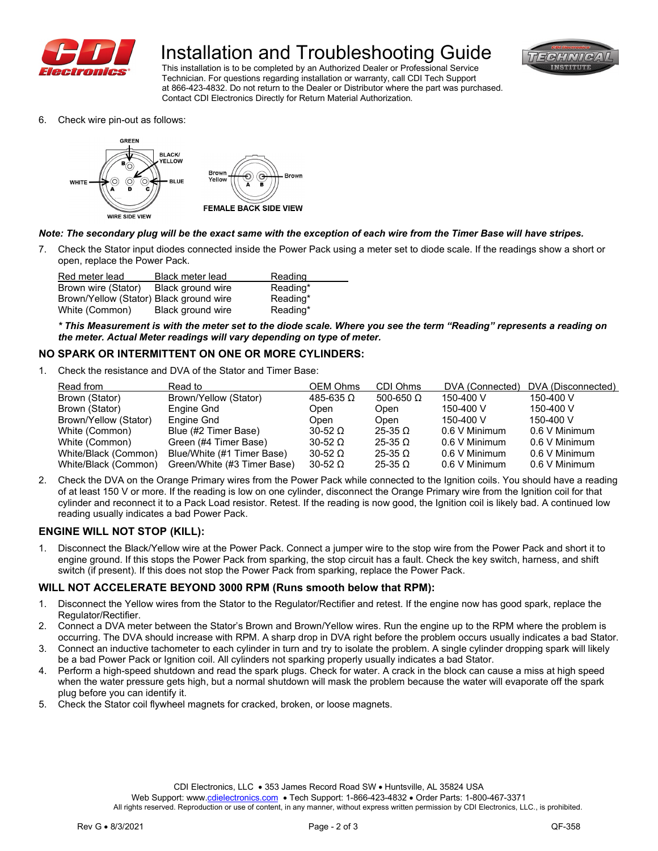

# Installation and Troubleshooting Guide



 This installation is to be completed by an Authorized Dealer or Professional Service Technician. For questions regarding installation or warranty, call CDI Tech Support at 866-423-4832. Do not return to the Dealer or Distributor where the part was purchased. Contact CDI Electronics Directly for Return Material Authorization.

6. Check wire pin-out as follows:



#### *Note: The secondary plug will be the exact same with the exception of each wire from the Timer Base will have stripes.*

7. Check the Stator input diodes connected inside the Power Pack using a meter set to diode scale. If the readings show a short or open, replace the Power Pack.

| Red meter lead                          | Black meter lead  | Reading  |
|-----------------------------------------|-------------------|----------|
| Brown wire (Stator)                     | Black ground wire | Reading* |
| Brown/Yellow (Stator) Black ground wire |                   | Reading* |
| White (Common)                          | Black ground wire | Reading* |

*\* This Measurement is with the meter set to the diode scale. Where you see the term "Reading" represents a reading on the meter. Actual Meter readings will vary depending on type of meter.*

#### **NO SPARK OR INTERMITTENT ON ONE OR MORE CYLINDERS:**

1. Check the resistance and DVA of the Stator and Timer Base:

| Read from             | Read to                     | OEM Ohms             | CDI Ohms         | DVA (Connected) | DVA (Disconnected) |
|-----------------------|-----------------------------|----------------------|------------------|-----------------|--------------------|
| Brown (Stator)        | Brown/Yellow (Stator)       | $485 - 635$ $\Omega$ | 500-650 $\Omega$ | 150-400 V       | 150-400 V          |
| Brown (Stator)        | Engine Gnd                  | Open                 | Open             | 150-400 V       | 150-400 V          |
| Brown/Yellow (Stator) | Engine Gnd                  | Open                 | Open             | 150-400 V       | 150-400 V          |
| White (Common)        | Blue (#2 Timer Base)        | $30-52$ $\Omega$     | $25-35$ $\Omega$ | 0.6 V Minimum   | 0.6 V Minimum      |
| White (Common)        | Green (#4 Timer Base)       | $30-52$ $\Omega$     | $25-35$ $\Omega$ | 0.6 V Minimum   | 0.6 V Minimum      |
| White/Black (Common)  | Blue/White (#1 Timer Base)  | $30-52$ $\Omega$     | $25-35$ $\Omega$ | 0.6 V Minimum   | 0.6 V Minimum      |
| White/Black (Common)  | Green/White (#3 Timer Base) | $30-52$ $\Omega$     | $25-35$ $\Omega$ | 0.6 V Minimum   | 0.6 V Minimum      |

2. Check the DVA on the Orange Primary wires from the Power Pack while connected to the Ignition coils. You should have a reading of at least 150 V or more. If the reading is low on one cylinder, disconnect the Orange Primary wire from the Ignition coil for that cylinder and reconnect it to a Pack Load resistor. Retest. If the reading is now good, the Ignition coil is likely bad. A continued low reading usually indicates a bad Power Pack.

#### **ENGINE WILL NOT STOP (KILL):**

1. Disconnect the Black/Yellow wire at the Power Pack. Connect a jumper wire to the stop wire from the Power Pack and short it to engine ground. If this stops the Power Pack from sparking, the stop circuit has a fault. Check the key switch, harness, and shift switch (if present). If this does not stop the Power Pack from sparking, replace the Power Pack.

#### **WILL NOT ACCELERATE BEYOND 3000 RPM (Runs smooth below that RPM):**

- 1. Disconnect the Yellow wires from the Stator to the Regulator/Rectifier and retest. If the engine now has good spark, replace the Regulator/Rectifier.
- 2. Connect a DVA meter between the Stator's Brown and Brown/Yellow wires. Run the engine up to the RPM where the problem is occurring. The DVA should increase with RPM. A sharp drop in DVA right before the problem occurs usually indicates a bad Stator.
- 3. Connect an inductive tachometer to each cylinder in turn and try to isolate the problem. A single cylinder dropping spark will likely be a bad Power Pack or Ignition coil. All cylinders not sparking properly usually indicates a bad Stator.
- 4. Perform a high-speed shutdown and read the spark plugs. Check for water. A crack in the block can cause a miss at high speed when the water pressure gets high, but a normal shutdown will mask the problem because the water will evaporate off the spark plug before you can identify it.
- 5. Check the Stator coil flywheel magnets for cracked, broken, or loose magnets.